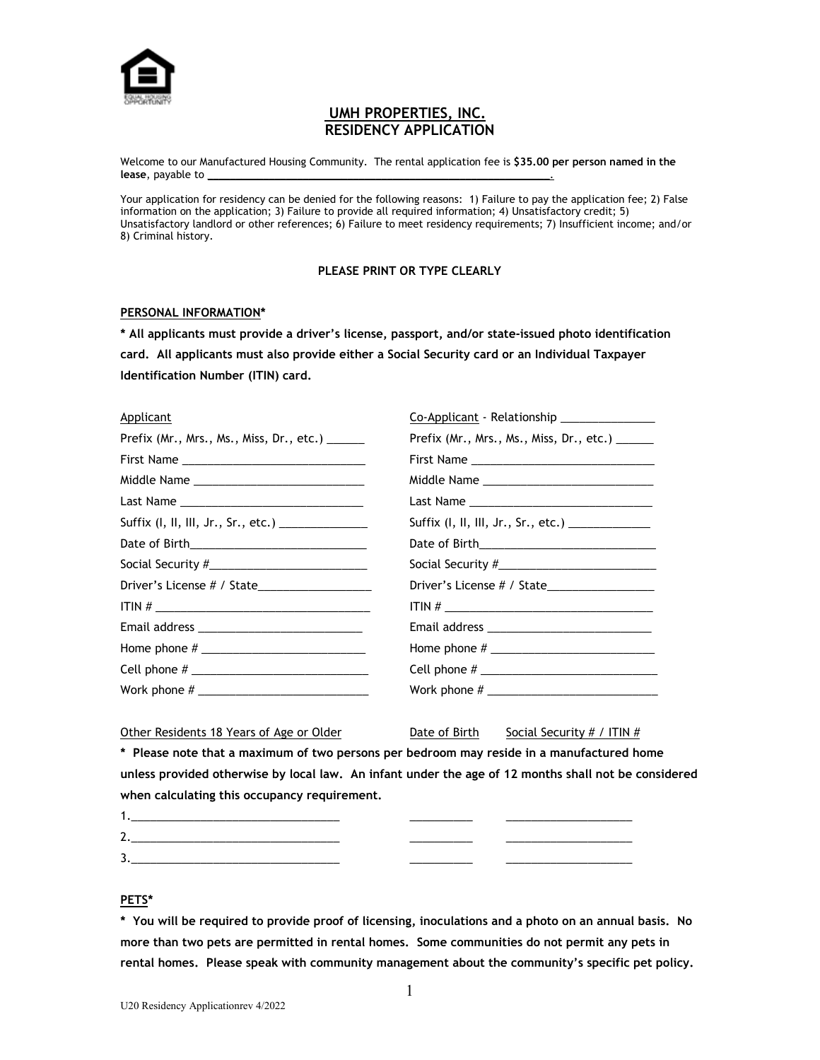

# **UMH PROPERTIES, INC. RESIDENCY APPLICATION**

Welcome to our Manufactured Housing Community. The rental application fee is **\$35.00 per person named in the**  lease, payable to

Your application for residency can be denied for the following reasons: 1) Failure to pay the application fee; 2) False information on the application; 3) Failure to provide all required information; 4) Unsatisfactory credit; 5) Unsatisfactory landlord or other references; 6) Failure to meet residency requirements; 7) Insufficient income; and/or 8) Criminal history.

#### **PLEASE PRINT OR TYPE CLEARLY**

#### **PERSONAL INFORMATION\***

**\* All applicants must provide a driver's license, passport, and/or state-issued photo identification card. All applicants must also provide either a Social Security card or an Individual Taxpayer Identification Number (ITIN) card.**

| Applicant                                         | Co-Applicant - Relationship _______________                                                                                                                                                                                                                                                                           |
|---------------------------------------------------|-----------------------------------------------------------------------------------------------------------------------------------------------------------------------------------------------------------------------------------------------------------------------------------------------------------------------|
| Prefix (Mr., Mrs., Ms., Miss, Dr., etc.) ______   | Prefix (Mr., Mrs., Ms., Miss, Dr., etc.) ______                                                                                                                                                                                                                                                                       |
|                                                   |                                                                                                                                                                                                                                                                                                                       |
|                                                   |                                                                                                                                                                                                                                                                                                                       |
|                                                   |                                                                                                                                                                                                                                                                                                                       |
| Suffix (I, II, III, Jr., Sr., etc.) _____________ | Suffix (I, II, III, Jr., Sr., etc.) _____________                                                                                                                                                                                                                                                                     |
|                                                   |                                                                                                                                                                                                                                                                                                                       |
|                                                   |                                                                                                                                                                                                                                                                                                                       |
|                                                   |                                                                                                                                                                                                                                                                                                                       |
|                                                   | ITIN # $\frac{1}{2}$ $\frac{1}{2}$ $\frac{1}{2}$ $\frac{1}{2}$ $\frac{1}{2}$ $\frac{1}{2}$ $\frac{1}{2}$ $\frac{1}{2}$ $\frac{1}{2}$ $\frac{1}{2}$ $\frac{1}{2}$ $\frac{1}{2}$ $\frac{1}{2}$ $\frac{1}{2}$ $\frac{1}{2}$ $\frac{1}{2}$ $\frac{1}{2}$ $\frac{1}{2}$ $\frac{1}{2}$ $\frac{1}{2}$ $\frac{1}{2}$ $\frac{$ |
|                                                   |                                                                                                                                                                                                                                                                                                                       |
|                                                   |                                                                                                                                                                                                                                                                                                                       |
|                                                   |                                                                                                                                                                                                                                                                                                                       |
|                                                   |                                                                                                                                                                                                                                                                                                                       |
|                                                   |                                                                                                                                                                                                                                                                                                                       |

Other Residents 18 Years of Age or Older  $D$  Date of Birth Social Security  $# / | TIN \#$ 

**\* Please note that a maximum of two persons per bedroom may reside in a manufactured home unless provided otherwise by local law. An infant under the age of 12 months shall not be considered when calculating this occupancy requirement.**

| ∽ |  |
|---|--|
|   |  |

#### **PETS\***

**\* You will be required to provide proof of licensing, inoculations and a photo on an annual basis. No more than two pets are permitted in rental homes. Some communities do not permit any pets in rental homes. Please speak with community management about the community's specific pet policy.**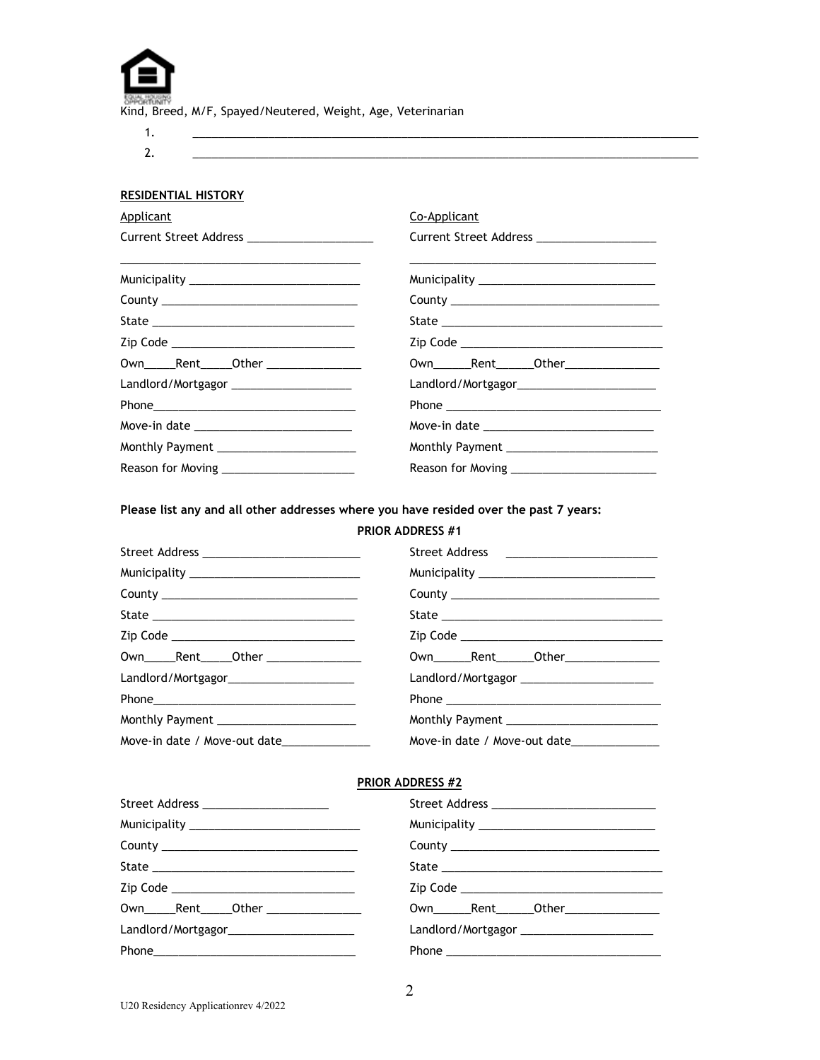| <b>SSHALTONING</b> |                                                              |  |  |
|--------------------|--------------------------------------------------------------|--|--|
|                    | Kind, Breed, M/F, Spayed/Neutered, Weight, Age, Veterinarian |  |  |

1. \_\_\_\_\_\_\_\_\_\_\_\_\_\_\_\_\_\_\_\_\_\_\_\_\_\_\_\_\_\_\_\_\_\_\_\_\_\_\_\_\_\_\_\_\_\_\_\_\_\_\_\_\_\_\_\_\_\_\_\_\_\_\_\_\_\_\_\_\_\_\_\_\_\_\_\_\_\_\_\_ 2. \_\_\_\_\_\_\_\_\_\_\_\_\_\_\_\_\_\_\_\_\_\_\_\_\_\_\_\_\_\_\_\_\_\_\_\_\_\_\_\_\_\_\_\_\_\_\_\_\_\_\_\_\_\_\_\_\_\_\_\_\_\_\_\_\_\_\_\_\_\_\_\_\_\_\_\_\_\_\_\_

# **RESIDENTIAL HISTORY**

| <u>Applicant</u>                              | Co-Applicant                                  |
|-----------------------------------------------|-----------------------------------------------|
| Current Street Address _____________________  | Current Street Address ____________________   |
| Municipality _______________________________  |                                               |
|                                               |                                               |
|                                               |                                               |
| Zip Code _________________________________    |                                               |
| 0wn_______Rent_______0ther __________________ | Own________Rent_______Other_________________  |
| Landlord/Mortgagor ______________________     | Landlord/Mortgagor___________________________ |
|                                               |                                               |
|                                               | Move-in date ________________________________ |
| Monthly Payment __________________________    |                                               |
|                                               |                                               |

**Please list any and all other addresses where you have resided over the past 7 years:**

# **PRIOR ADDRESS #1**

| Street Address __________________________  | Street Address ___________________________       |
|--------------------------------------------|--------------------------------------------------|
|                                            |                                                  |
|                                            |                                                  |
|                                            |                                                  |
| Zip Code _________________________________ |                                                  |
| Own______Rent______Other ________________  | 0wn_________Rent________Other___________________ |
|                                            | Landlord/Mortgagor _________________________     |
|                                            |                                                  |
| Monthly Payment _______________________    |                                                  |
| Move-in date / Move-out date               | Move-in date / Move-out date________________     |

# **PRIOR ADDRESS #2**

| Street Address ______________________     |                                                 |
|-------------------------------------------|-------------------------------------------------|
|                                           | Municipality __________________________________ |
|                                           |                                                 |
|                                           |                                                 |
|                                           |                                                 |
| Own______Rent______Other ________________ | Own_______Rent_______Other_________________     |
|                                           |                                                 |
|                                           |                                                 |
|                                           |                                                 |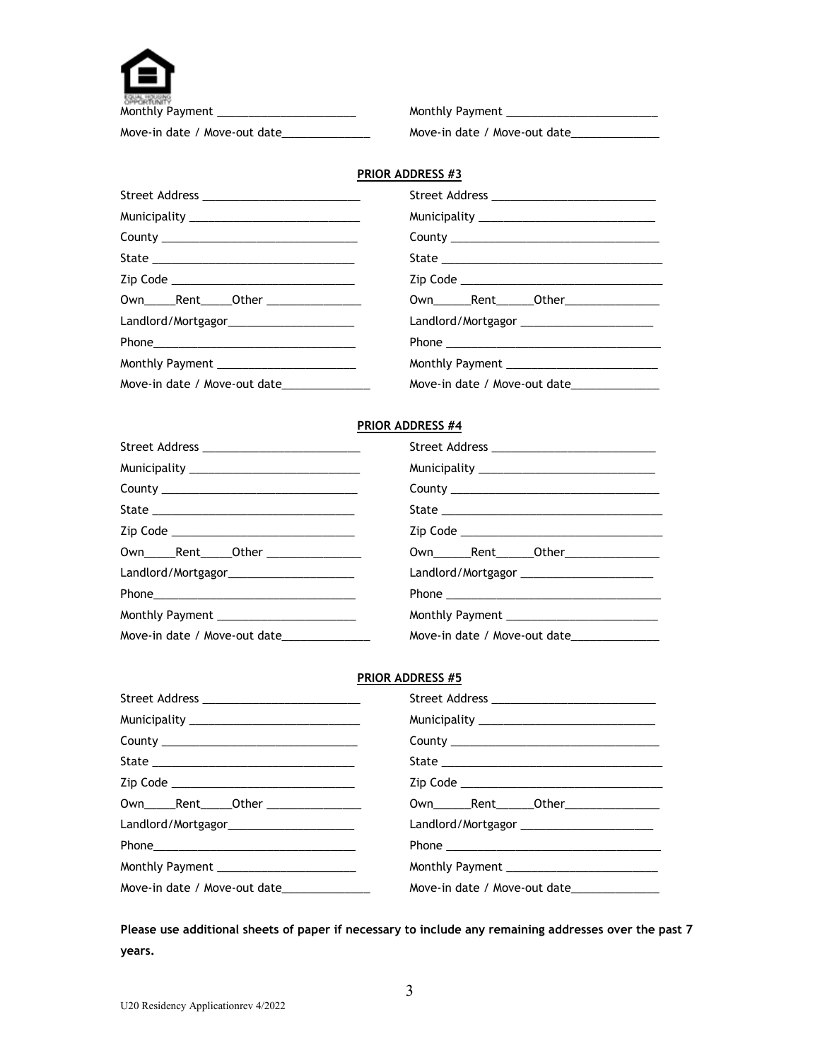| Monthly<br>D<br>s |
|-------------------|

Monthly Payment \_\_\_\_\_\_\_\_\_\_\_\_\_\_\_\_\_\_\_\_\_\_ Monthly Payment \_\_\_\_\_\_\_\_\_\_\_\_\_\_\_\_\_\_\_\_\_\_\_\_ Move-in date / Move-out date\_\_\_\_\_\_\_\_\_\_\_\_\_\_\_\_\_\_\_ Move-in date / Move-out date\_\_\_\_\_\_\_\_\_\_\_\_\_\_\_\_\_\_\_\_\_\_\_\_\_\_\_\_\_\_\_\_\_\_

## **PRIOR ADDRESS #3**

| Street Address _____________________________     |                                                 |
|--------------------------------------------------|-------------------------------------------------|
| Municipality ________________________________    | Municipality __________________________________ |
| County <u>__________________________________</u> |                                                 |
|                                                  |                                                 |
| Zip Code ________________________________        |                                                 |
| 0wn______Rent______0ther _________________       |                                                 |
| Landlord/Mortgagor_______________________        | Landlord/Mortgagor _______________________      |
|                                                  |                                                 |
| Monthly Payment ________________________         |                                                 |
| Move-in date / Move-out date________________     | Move-in date / Move-out date                    |

## **PRIOR ADDRESS #4**

| Street Address ____________________________   |                                            |
|-----------------------------------------------|--------------------------------------------|
|                                               |                                            |
|                                               |                                            |
|                                               |                                            |
|                                               |                                            |
| 0wn_______Rent_______0ther __________________ |                                            |
|                                               | Landlord/Mortgagor _______________________ |
|                                               |                                            |
| Monthly Payment                               |                                            |
| Move-in date / Move-out date______________    |                                            |

## **PRIOR ADDRESS #5**

| Street Address ___________________________   | Street Address ________________________________ |
|----------------------------------------------|-------------------------------------------------|
|                                              |                                                 |
|                                              |                                                 |
|                                              |                                                 |
|                                              |                                                 |
| 0wn_______Rent_______0ther _________________ |                                                 |
| Landlord/Mortgagor_______________________    | Landlord/Mortgagor ________________________     |
|                                              |                                                 |
| Monthly Payment ________________________     |                                                 |
| Move-in date / Move-out date______________   | Move-in date / Move-out date                    |

**Please use additional sheets of paper if necessary to include any remaining addresses over the past 7 years.**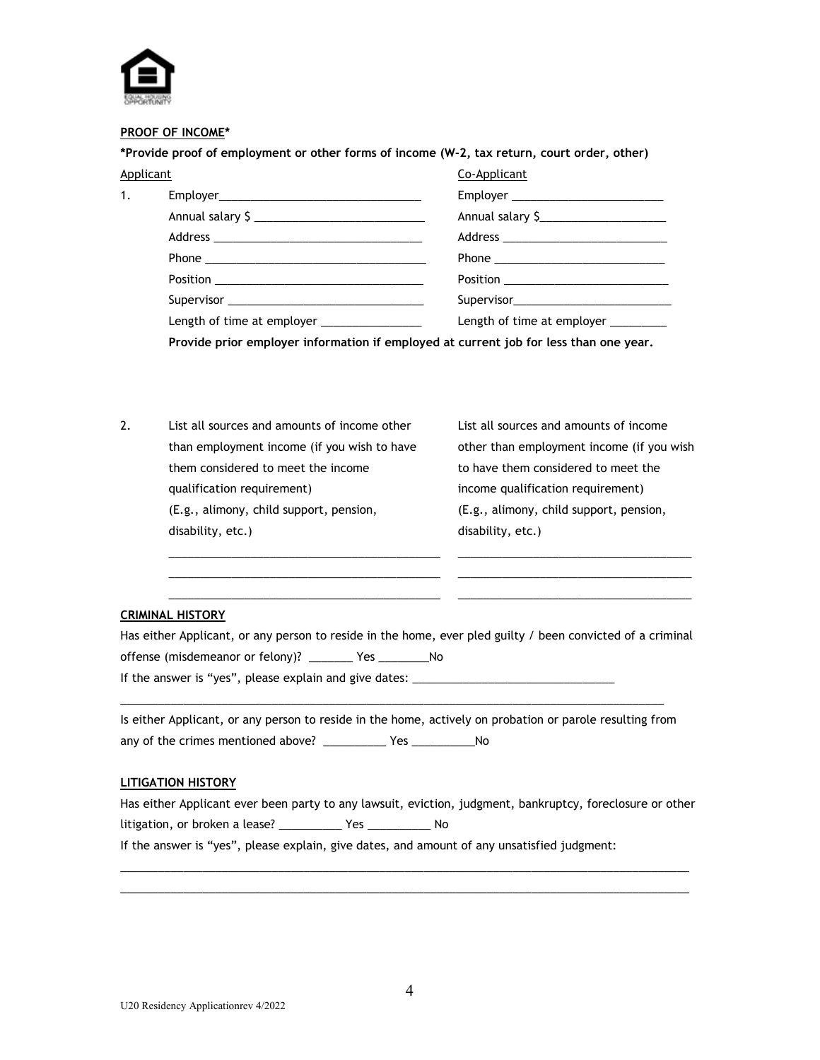

#### **PROOF OF INCOME\***

**\*Provide proof of employment or other forms of income (W-2, tax return, court order, other)**

| <b>Applicant</b> |                                            | Co-Applicant                        |
|------------------|--------------------------------------------|-------------------------------------|
| 1.               |                                            | Employer __________________________ |
|                  | Annual salary \$                           | Annual salary \$                    |
|                  |                                            |                                     |
|                  |                                            |                                     |
|                  |                                            |                                     |
|                  |                                            |                                     |
|                  | Length of time at employer _______________ | Length of time at employer ________ |
|                  |                                            |                                     |

**Provide prior employer information if employed at current job for less than one year.**

2. List all sources and amounts of income other List all sources and amounts of income than employment income (if you wish to have other than employment income (if you wish them considered to meet the income them considered to meet the qualification requirement) income qualification requirement) (E.g., alimony, child support, pension, (E.g., alimony, child support, pension, disability, etc.) and the disability, etc.)

## **CRIMINAL HISTORY**

| Has either Applicant, or any person to reside in the home, ever pled guilty / been convicted of a criminal |  |
|------------------------------------------------------------------------------------------------------------|--|
| offense (misdemeanor or felony)? The Yes                                                                   |  |
| If the answer is "yes", please explain and give dates:                                                     |  |

\_\_\_\_\_\_\_\_\_\_\_\_\_\_\_\_\_\_\_\_\_\_\_\_\_\_\_\_\_\_\_\_\_\_\_\_\_\_\_\_\_\_\_ \_\_\_\_\_\_\_\_\_\_\_\_\_\_\_\_\_\_\_\_\_\_\_\_\_\_\_\_\_\_\_\_\_\_\_\_\_ \_\_\_\_\_\_\_\_\_\_\_\_\_\_\_\_\_\_\_\_\_\_\_\_\_\_\_\_\_\_\_\_\_\_\_\_\_\_\_\_\_\_\_ \_\_\_\_\_\_\_\_\_\_\_\_\_\_\_\_\_\_\_\_\_\_\_\_\_\_\_\_\_\_\_\_\_\_\_\_\_ \_\_\_\_\_\_\_\_\_\_\_\_\_\_\_\_\_\_\_\_\_\_\_\_\_\_\_\_\_\_\_\_\_\_\_\_\_\_\_\_\_\_\_ \_\_\_\_\_\_\_\_\_\_\_\_\_\_\_\_\_\_\_\_\_\_\_\_\_\_\_\_\_\_\_\_\_\_\_\_\_

Is either Applicant, or any person to reside in the home, actively on probation or parole resulting from any of the crimes mentioned above? \_\_\_\_\_\_\_\_\_\_\_\_ Yes \_\_\_\_\_\_\_\_\_\_\_\_\_\_No

\_\_\_\_\_\_\_\_\_\_\_\_\_\_\_\_\_\_\_\_\_\_\_\_\_\_\_\_\_\_\_\_\_\_\_\_\_\_\_\_\_\_\_\_\_\_\_\_\_\_\_\_\_\_\_\_\_\_\_\_\_\_\_\_\_\_\_\_\_\_\_\_\_\_\_\_\_\_\_\_\_\_\_\_\_\_

#### **LITIGATION HISTORY**

|                                |  |  |  | Has either Applicant ever been party to any lawsuit, eviction, judgment, bankruptcy, foreclosure or other |  |
|--------------------------------|--|--|--|-----------------------------------------------------------------------------------------------------------|--|
| litigation, or broken a lease? |  |  |  |                                                                                                           |  |

\_\_\_\_\_\_\_\_\_\_\_\_\_\_\_\_\_\_\_\_\_\_\_\_\_\_\_\_\_\_\_\_\_\_\_\_\_\_\_\_\_\_\_\_\_\_\_\_\_\_\_\_\_\_\_\_\_\_\_\_\_\_\_\_\_\_\_\_\_\_\_\_\_\_\_\_\_\_\_\_\_\_\_\_\_\_\_\_\_\_ \_\_\_\_\_\_\_\_\_\_\_\_\_\_\_\_\_\_\_\_\_\_\_\_\_\_\_\_\_\_\_\_\_\_\_\_\_\_\_\_\_\_\_\_\_\_\_\_\_\_\_\_\_\_\_\_\_\_\_\_\_\_\_\_\_\_\_\_\_\_\_\_\_\_\_\_\_\_\_\_\_\_\_\_\_\_\_\_\_\_

If the answer is "yes", please explain, give dates, and amount of any unsatisfied judgment: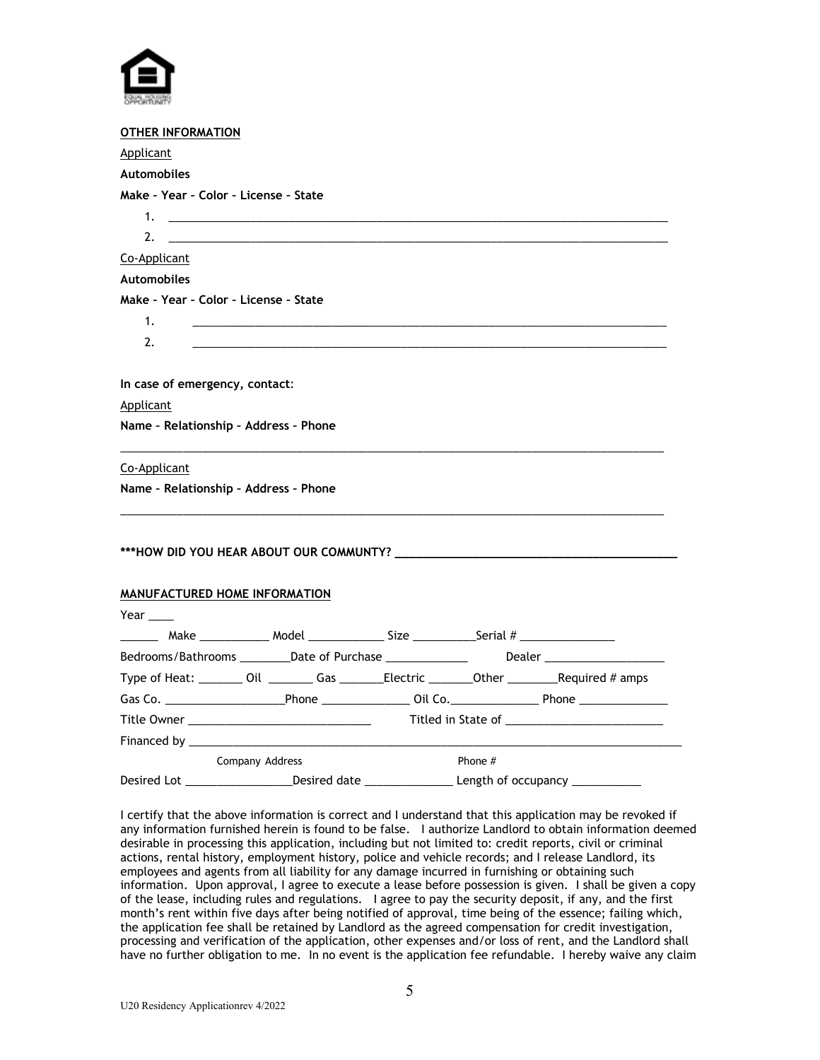

| <b>OTHER INFORMATION</b>                    |                                                                                                    |  |                          |
|---------------------------------------------|----------------------------------------------------------------------------------------------------|--|--------------------------|
| Applicant                                   |                                                                                                    |  |                          |
| <b>Automobiles</b>                          |                                                                                                    |  |                          |
| Make - Year - Color - License - State       |                                                                                                    |  |                          |
|                                             |                                                                                                    |  |                          |
| 2.                                          |                                                                                                    |  |                          |
| Co-Applicant                                |                                                                                                    |  |                          |
| <b>Automobiles</b>                          |                                                                                                    |  |                          |
| Make - Year - Color - License - State<br>1. |                                                                                                    |  |                          |
| 2.                                          |                                                                                                    |  |                          |
| In case of emergency, contact:              |                                                                                                    |  |                          |
| <b>Applicant</b>                            |                                                                                                    |  |                          |
| Name - Relationship - Address - Phone       |                                                                                                    |  |                          |
| Co-Applicant                                |                                                                                                    |  |                          |
| Name - Relationship - Address - Phone       |                                                                                                    |  |                          |
|                                             |                                                                                                    |  |                          |
| <b>MANUFACTURED HOME INFORMATION</b>        |                                                                                                    |  |                          |
| Year $\_\_\_\_\$                            |                                                                                                    |  |                          |
|                                             | ________ Make _______________ Model _______________ Size ____________Serial # ____________________ |  |                          |
|                                             | Bedrooms/Bathrooms __________Date of Purchase _______________                                      |  | <b>Dealer Example 20</b> |
|                                             | Type of Heat: ________ Oil _________ Gas ________Electric ________Other _________Required # amps   |  |                          |
|                                             |                                                                                                    |  |                          |
|                                             |                                                                                                    |  |                          |
|                                             |                                                                                                    |  |                          |
| Company Address                             | Phone $#$                                                                                          |  |                          |
|                                             |                                                                                                    |  |                          |

I certify that the above information is correct and I understand that this application may be revoked if any information furnished herein is found to be false. I authorize Landlord to obtain information deemed desirable in processing this application, including but not limited to: credit reports, civil or criminal actions, rental history, employment history, police and vehicle records; and I release Landlord, its employees and agents from all liability for any damage incurred in furnishing or obtaining such information. Upon approval, I agree to execute a lease before possession is given. I shall be given a copy of the lease, including rules and regulations. I agree to pay the security deposit, if any, and the first month's rent within five days after being notified of approval, time being of the essence; failing which, the application fee shall be retained by Landlord as the agreed compensation for credit investigation, processing and verification of the application, other expenses and/or loss of rent, and the Landlord shall have no further obligation to me. In no event is the application fee refundable. I hereby waive any claim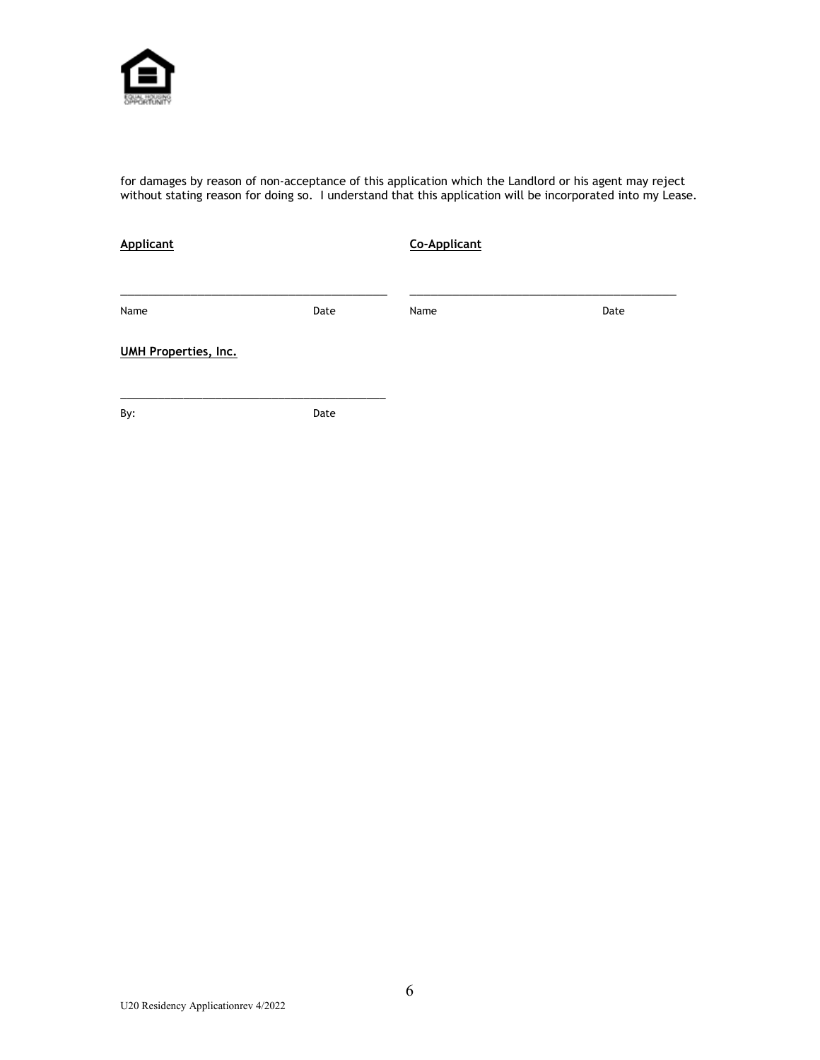

for damages by reason of non-acceptance of this application which the Landlord or his agent may reject without stating reason for doing so. I understand that this application will be incorporated into my Lease.

| <b>Applicant</b>            |      | <b>Co-Applicant</b> |      |  |
|-----------------------------|------|---------------------|------|--|
|                             |      |                     |      |  |
| Name                        | Date | Name                | Date |  |
| <b>UMH Properties, Inc.</b> |      |                     |      |  |
| By:                         | Date |                     |      |  |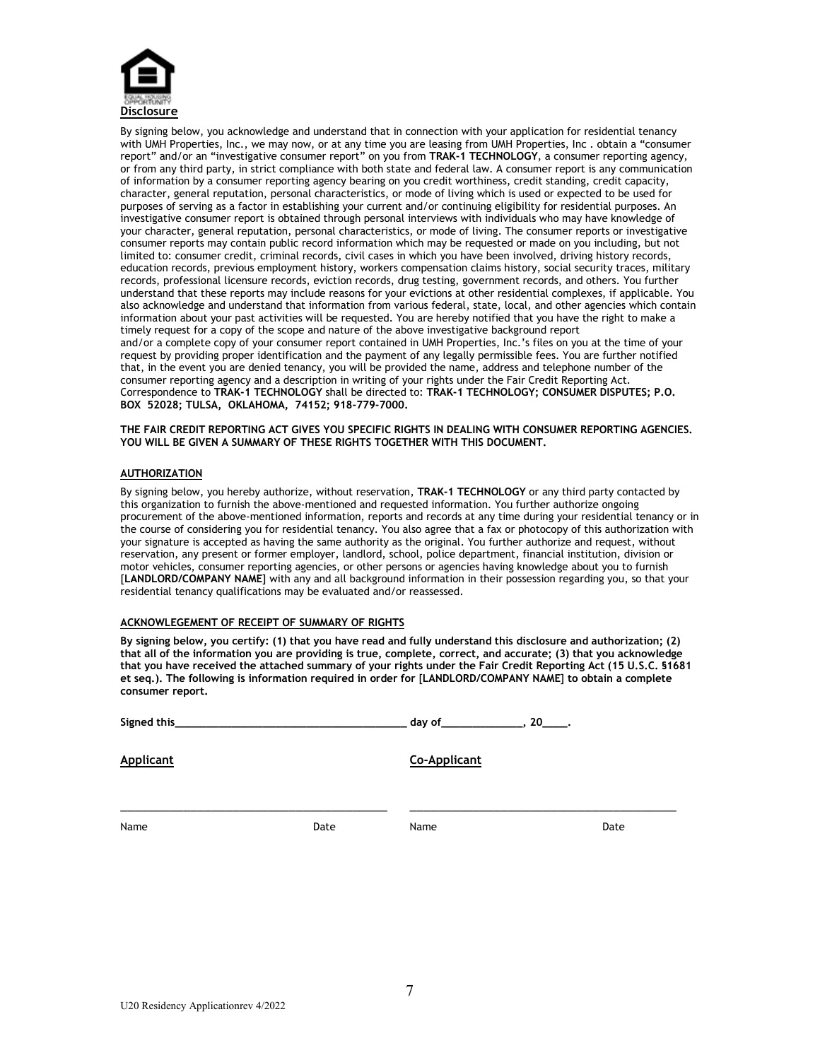

By signing below, you acknowledge and understand that in connection with your application for residential tenancy with UMH Properties, Inc., we may now, or at any time you are leasing from UMH Properties, Inc . obtain a "consumer report" and/or an "investigative consumer report" on you from **TRAK-1 TECHNOLOGY**, a consumer reporting agency, or from any third party, in strict compliance with both state and federal law. A consumer report is any communication of information by a consumer reporting agency bearing on you credit worthiness, credit standing, credit capacity, character, general reputation, personal characteristics, or mode of living which is used or expected to be used for purposes of serving as a factor in establishing your current and/or continuing eligibility for residential purposes. An investigative consumer report is obtained through personal interviews with individuals who may have knowledge of your character, general reputation, personal characteristics, or mode of living. The consumer reports or investigative consumer reports may contain public record information which may be requested or made on you including, but not limited to: consumer credit, criminal records, civil cases in which you have been involved, driving history records, education records, previous employment history, workers compensation claims history, social security traces, military records, professional licensure records, eviction records, drug testing, government records, and others. You further understand that these reports may include reasons for your evictions at other residential complexes, if applicable. You also acknowledge and understand that information from various federal, state, local, and other agencies which contain information about your past activities will be requested. You are hereby notified that you have the right to make a timely request for a copy of the scope and nature of the above investigative background report and/or a complete copy of your consumer report contained in UMH Properties, Inc.'s files on you at the time of your request by providing proper identification and the payment of any legally permissible fees. You are further notified that, in the event you are denied tenancy, you will be provided the name, address and telephone number of the consumer reporting agency and a description in writing of your rights under the Fair Credit Reporting Act. Correspondence to **TRAK-1 TECHNOLOGY** shall be directed to: **TRAK-1 TECHNOLOGY; CONSUMER DISPUTES; P.O. BOX 52028; TULSA, OKLAHOMA, 74152; 918-779-7000.**

**THE FAIR CREDIT REPORTING ACT GIVES YOU SPECIFIC RIGHTS IN DEALING WITH CONSUMER REPORTING AGENCIES. YOU WILL BE GIVEN A SUMMARY OF THESE RIGHTS TOGETHER WITH THIS DOCUMENT.**

#### **AUTHORIZATION**

By signing below, you hereby authorize, without reservation, **TRAK-1 TECHNOLOGY** or any third party contacted by this organization to furnish the above-mentioned and requested information. You further authorize ongoing procurement of the above-mentioned information, reports and records at any time during your residential tenancy or in the course of considering you for residential tenancy. You also agree that a fax or photocopy of this authorization with your signature is accepted as having the same authority as the original. You further authorize and request, without reservation, any present or former employer, landlord, school, police department, financial institution, division or motor vehicles, consumer reporting agencies, or other persons or agencies having knowledge about you to furnish [**LANDLORD/COMPANY NAME**] with any and all background information in their possession regarding you, so that your residential tenancy qualifications may be evaluated and/or reassessed.

#### **ACKNOWLEGEMENT OF RECEIPT OF SUMMARY OF RIGHTS**

**By signing below, you certify: (1) that you have read and fully understand this disclosure and authorization; (2) that all of the information you are providing is true, complete, correct, and accurate; (3) that you acknowledge that you have received the attached summary of your rights under the Fair Credit Reporting Act (15 U.S.C. §1681 et seq.). The following is information required in order for** [**LANDLORD/COMPANY NAME**] **to obtain a complete consumer report.**

| Signed this_     |      | $day of$ , $20$ , $1$ |      |  |  |
|------------------|------|-----------------------|------|--|--|
| <b>Applicant</b> |      | <b>Co-Applicant</b>   |      |  |  |
| Name             | Date | Name                  | Date |  |  |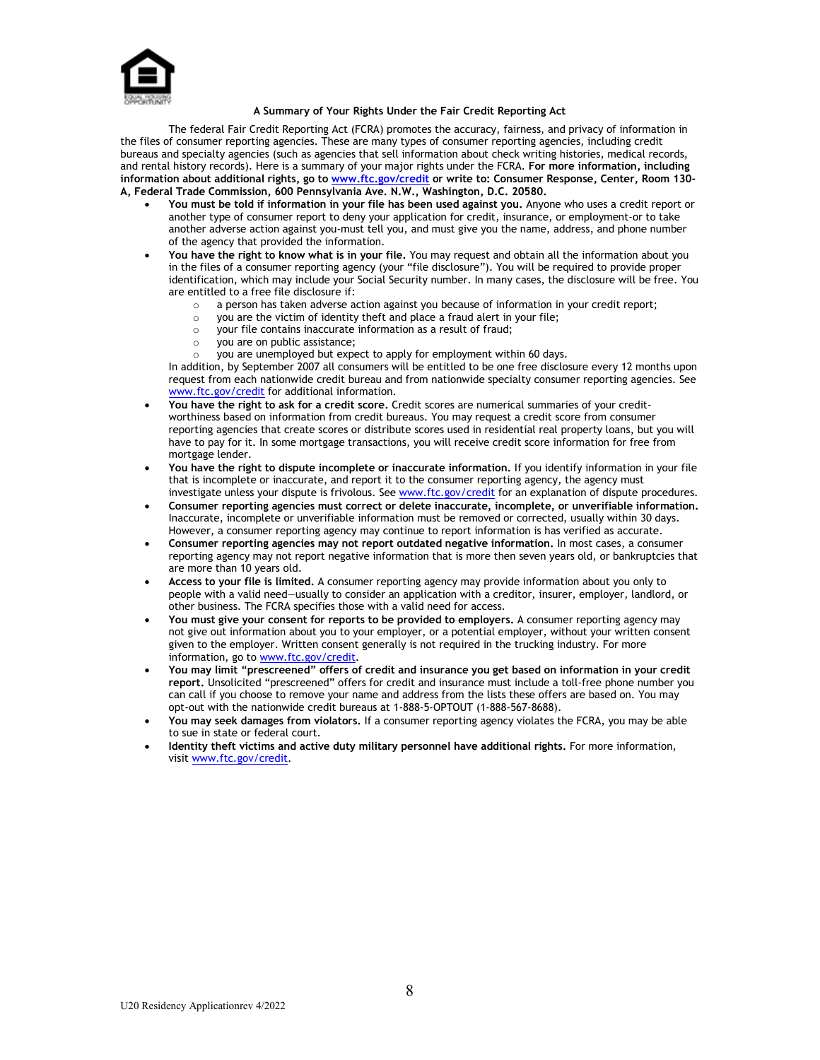

#### **A Summary of Your Rights Under the Fair Credit Reporting Act**

The federal Fair Credit Reporting Act (FCRA) promotes the accuracy, fairness, and privacy of information in the files of consumer reporting agencies. These are many types of consumer reporting agencies, including credit bureaus and specialty agencies (such as agencies that sell information about check writing histories, medical records, and rental history records). Here is a summary of your major rights under the FCRA. **For more information, including information about additional rights, go t[o www.ftc.gov/credit](http://www.ftc.gov/credit) or write to: Consumer Response, Center, Room 130- A, Federal Trade Commission, 600 Pennsylvania Ave. N.W., Washington, D.C. 20580.**

- **You must be told if information in your file has been used against you.** Anyone who uses a credit report or another type of consumer report to deny your application for credit, insurance, or employment-or to take another adverse action against you-must tell you, and must give you the name, address, and phone number of the agency that provided the information.
- **You have the right to know what is in your file.** You may request and obtain all the information about you in the files of a consumer reporting agency (your "file disclosure"). You will be required to provide proper identification, which may include your Social Security number. In many cases, the disclosure will be free. You are entitled to a free file disclosure if:
	- $\circ$  a person has taken adverse action against you because of information in your credit report;<br> $\circ$  you are the victim of identity theft and place a fraud alert in your file;
	- $\circ$  you are the victim of identity theft and place a fraud alert in your file;<br> $\circ$  your file contains inaccurate information as a result of fraud:
	- $\circ$  your file contains inaccurate information as a result of fraud;<br> $\circ$  you are on public assistance:
	- you are on public assistance;
		- you are unemployed but expect to apply for employment within 60 days.

In addition, by September 2007 all consumers will be entitled to be one free disclosure every 12 months upon request from each nationwide credit bureau and from nationwide specialty consumer reporting agencies. See [www.ftc.gov/credit](http://www.ftc.gov/credit) for additional information.

- **You have the right to ask for a credit score.** Credit scores are numerical summaries of your creditworthiness based on information from credit bureaus. You may request a credit score from consumer reporting agencies that create scores or distribute scores used in residential real property loans, but you will have to pay for it. In some mortgage transactions, you will receive credit score information for free from mortgage lender.
- **You have the right to dispute incomplete or inaccurate information.** If you identify information in your file that is incomplete or inaccurate, and report it to the consumer reporting agency, the agency must investigate unless your dispute is frivolous. See [www.ftc.gov/credit](http://www.ftc.gov/credit) for an explanation of dispute procedures.
- **Consumer reporting agencies must correct or delete inaccurate, incomplete, or unverifiable information.**  Inaccurate, incomplete or unverifiable information must be removed or corrected, usually within 30 days. However, a consumer reporting agency may continue to report information is has verified as accurate.
- **Consumer reporting agencies may not report outdated negative information.** In most cases, a consumer reporting agency may not report negative information that is more then seven years old, or bankruptcies that are more than 10 years old.
- **Access to your file is limited.** A consumer reporting agency may provide information about you only to people with a valid need—usually to consider an application with a creditor, insurer, employer, landlord, or other business. The FCRA specifies those with a valid need for access.
- **You must give your consent for reports to be provided to employers.** A consumer reporting agency may not give out information about you to your employer, or a potential employer, without your written consent given to the employer. Written consent generally is not required in the trucking industry. For more information, go to [www.ftc.gov/credit.](http://www.ftc.gov/credit)
- **You may limit "prescreened" offers of credit and insurance you get based on information in your credit report.** Unsolicited "prescreened" offers for credit and insurance must include a toll-free phone number you can call if you choose to remove your name and address from the lists these offers are based on. You may opt-out with the nationwide credit bureaus at 1-888-5-OPTOUT (1-888-567-8688).
- **You may seek damages from violators.** If a consumer reporting agency violates the FCRA, you may be able to sue in state or federal court.
- **Identity theft victims and active duty military personnel have additional rights.** For more information, visit [www.ftc.gov/credit.](http://www.ftc.gov/credit)